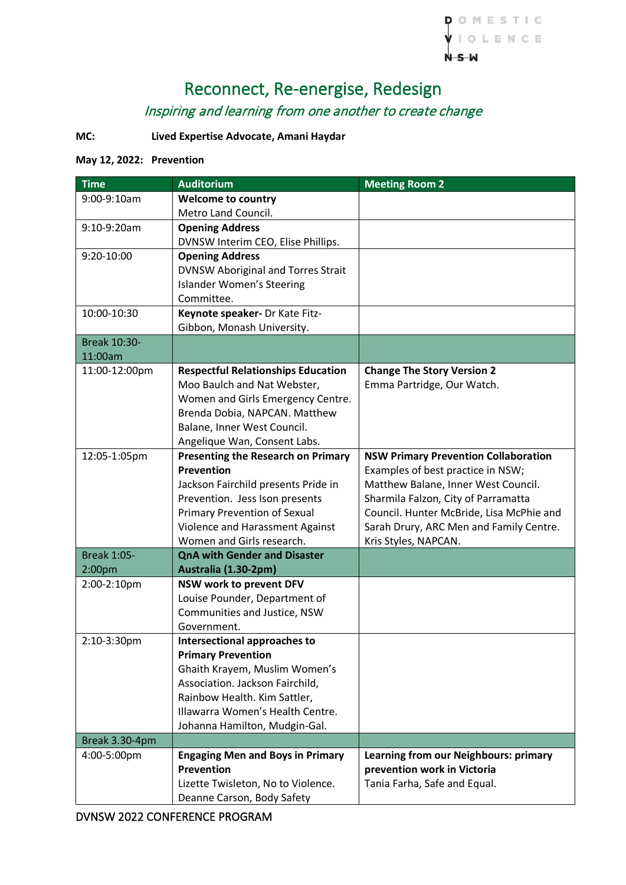

# Reconnect, Re-energise, Redesign Inspiring and learning from one another to create change

## **MC: Lived Expertise Advocate, Amani Haydar**

#### **May 12, 2022: Prevention**

| <b>Time</b>        | <b>Auditorium</b>                                          | <b>Meeting Room 2</b>                       |
|--------------------|------------------------------------------------------------|---------------------------------------------|
| 9:00-9:10am        | <b>Welcome to country</b>                                  |                                             |
|                    | Metro Land Council.                                        |                                             |
| 9:10-9:20am        | <b>Opening Address</b>                                     |                                             |
|                    | DVNSW Interim CEO, Elise Phillips.                         |                                             |
| 9:20-10:00         | <b>Opening Address</b>                                     |                                             |
|                    | <b>DVNSW Aboriginal and Torres Strait</b>                  |                                             |
|                    | <b>Islander Women's Steering</b>                           |                                             |
|                    | Committee.                                                 |                                             |
| 10:00-10:30        | Keynote speaker- Dr Kate Fitz-                             |                                             |
|                    | Gibbon, Monash University.                                 |                                             |
| Break 10:30-       |                                                            |                                             |
| 11:00am            |                                                            |                                             |
| 11:00-12:00pm      | <b>Respectful Relationships Education</b>                  | <b>Change The Story Version 2</b>           |
|                    | Moo Baulch and Nat Webster,                                | Emma Partridge, Our Watch.                  |
|                    | Women and Girls Emergency Centre.                          |                                             |
|                    | Brenda Dobia, NAPCAN. Matthew                              |                                             |
|                    | Balane, Inner West Council.                                |                                             |
|                    | Angelique Wan, Consent Labs.                               |                                             |
| 12:05-1:05pm       | <b>Presenting the Research on Primary</b>                  | <b>NSW Primary Prevention Collaboration</b> |
|                    | <b>Prevention</b>                                          | Examples of best practice in NSW;           |
|                    | Jackson Fairchild presents Pride in                        | Matthew Balane, Inner West Council.         |
|                    | Prevention. Jess Ison presents                             | Sharmila Falzon, City of Parramatta         |
|                    | <b>Primary Prevention of Sexual</b>                        | Council. Hunter McBride, Lisa McPhie and    |
|                    | Violence and Harassment Against                            | Sarah Drury, ARC Men and Family Centre.     |
|                    | Women and Girls research.                                  | Kris Styles, NAPCAN.                        |
| <b>Break 1:05-</b> | <b>QnA with Gender and Disaster</b>                        |                                             |
| 2:00pm             | Australia (1.30-2pm)                                       |                                             |
| 2:00-2:10pm        | NSW work to prevent DFV                                    |                                             |
|                    | Louise Pounder, Department of                              |                                             |
|                    | Communities and Justice, NSW                               |                                             |
|                    | Government.                                                |                                             |
| 2:10-3:30pm        | Intersectional approaches to                               |                                             |
|                    | <b>Primary Prevention</b><br>Ghaith Krayem, Muslim Women's |                                             |
|                    | Association. Jackson Fairchild,                            |                                             |
|                    | Rainbow Health. Kim Sattler,                               |                                             |
|                    | Illawarra Women's Health Centre.                           |                                             |
|                    | Johanna Hamilton, Mudgin-Gal.                              |                                             |
| Break 3.30-4pm     |                                                            |                                             |
| 4:00-5:00pm        | <b>Engaging Men and Boys in Primary</b>                    | Learning from our Neighbours: primary       |
|                    | <b>Prevention</b>                                          | prevention work in Victoria                 |
|                    | Lizette Twisleton, No to Violence.                         | Tania Farha, Safe and Equal.                |
|                    | Deanne Carson, Body Safety                                 |                                             |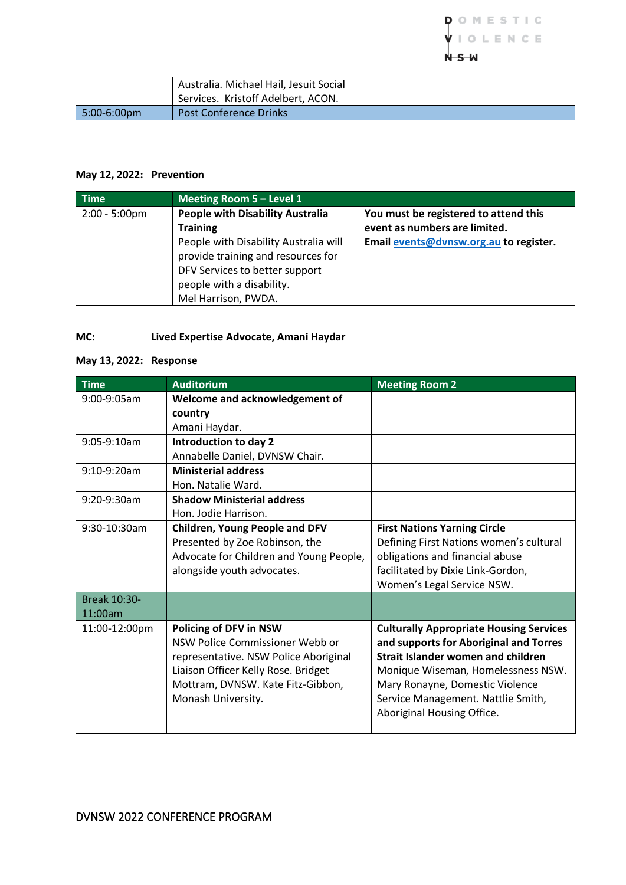

|                       | Australia. Michael Hail, Jesuit Social |  |
|-----------------------|----------------------------------------|--|
|                       | Services. Kristoff Adelbert, ACON.     |  |
| $\sqrt{5:00}$ -6:00pm | <b>Post Conference Drinks</b>          |  |

#### **May 12, 2022: Prevention**

| <b>Time</b>      | Meeting Room 5 - Level 1                                                                                                                                                                                                        |                                                                                                                  |
|------------------|---------------------------------------------------------------------------------------------------------------------------------------------------------------------------------------------------------------------------------|------------------------------------------------------------------------------------------------------------------|
| $2:00 - 5:00$ pm | <b>People with Disability Australia</b><br><b>Training</b><br>People with Disability Australia will<br>provide training and resources for<br>DFV Services to better support<br>people with a disability.<br>Mel Harrison, PWDA. | You must be registered to attend this<br>event as numbers are limited.<br>Email events@dvnsw.org.au to register. |

### **MC: Lived Expertise Advocate, Amani Haydar**

#### **May 13, 2022: Response**

| <b>Time</b>     | <b>Auditorium</b>                       | <b>Meeting Room 2</b>                          |
|-----------------|-----------------------------------------|------------------------------------------------|
| $9:00-9:05am$   | Welcome and acknowledgement of          |                                                |
|                 | country                                 |                                                |
|                 | Amani Haydar.                           |                                                |
| $9:05-9:10am$   | Introduction to day 2                   |                                                |
|                 | Annabelle Daniel, DVNSW Chair.          |                                                |
| $9:10-9:20am$   | <b>Ministerial address</b>              |                                                |
|                 | Hon. Natalie Ward.                      |                                                |
| 9:20-9:30am     | <b>Shadow Ministerial address</b>       |                                                |
|                 | Hon. Jodie Harrison.                    |                                                |
| $9:30-10:30$ am | <b>Children, Young People and DFV</b>   | <b>First Nations Yarning Circle</b>            |
|                 | Presented by Zoe Robinson, the          | Defining First Nations women's cultural        |
|                 | Advocate for Children and Young People, | obligations and financial abuse                |
|                 | alongside youth advocates.              | facilitated by Dixie Link-Gordon,              |
|                 |                                         | Women's Legal Service NSW.                     |
| Break 10:30-    |                                         |                                                |
| 11:00am         |                                         |                                                |
| 11:00-12:00pm   | <b>Policing of DFV in NSW</b>           | <b>Culturally Appropriate Housing Services</b> |
|                 | NSW Police Commissioner Webb or         | and supports for Aboriginal and Torres         |
|                 | representative. NSW Police Aboriginal   | Strait Islander women and children             |
|                 | Liaison Officer Kelly Rose. Bridget     | Monique Wiseman, Homelessness NSW.             |
|                 | Mottram, DVNSW. Kate Fitz-Gibbon,       | Mary Ronayne, Domestic Violence                |
|                 | Monash University.                      | Service Management. Nattlie Smith,             |
|                 |                                         | Aboriginal Housing Office.                     |
|                 |                                         |                                                |